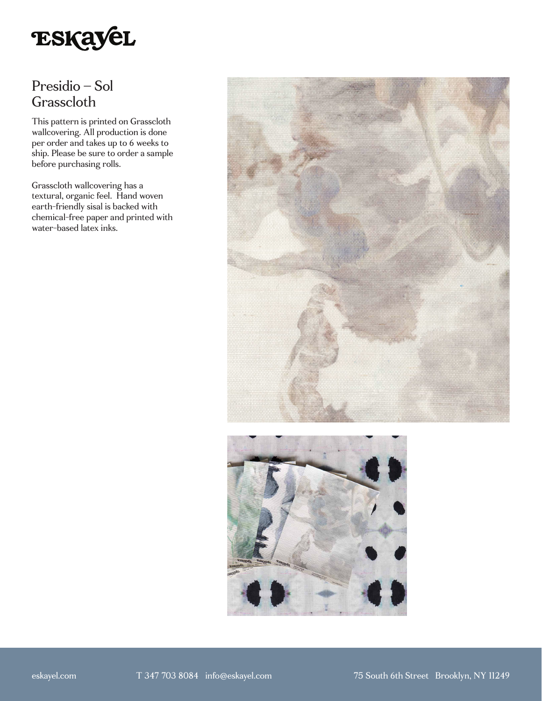

# Presidio – Sol Grasscloth

This pattern is printed on Grasscloth wallcovering. All production is done per order and takes up to 6 weeks to ship. Please be sure to order a sample before purchasing rolls.

Grasscloth wallcovering has a textural, organic feel. Hand woven earth-friendly sisal is backed with chemical-free paper and printed with water-based latex inks.



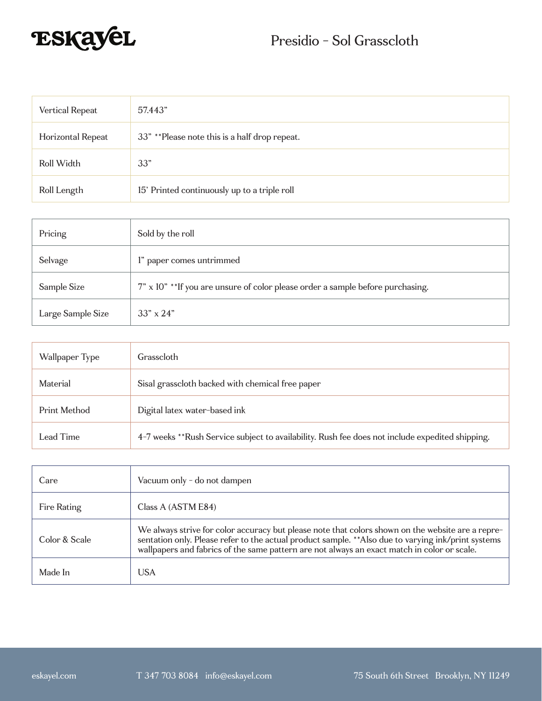

| Vertical Repeat   | 57.443"                                       |
|-------------------|-----------------------------------------------|
| Horizontal Repeat | 33" **Please note this is a half drop repeat. |
| Roll Width        | 33"                                           |
| Roll Length       | 15' Printed continuously up to a triple roll  |

| Pricing           | Sold by the roll                                                                |
|-------------------|---------------------------------------------------------------------------------|
| Selvage           | l" paper comes untrimmed                                                        |
| Sample Size       | 7" x 10" ** If you are unsure of color please order a sample before purchasing. |
| Large Sample Size | $33'' \times 24''$                                                              |

| Wallpaper Type | Grasscloth                                                                                      |
|----------------|-------------------------------------------------------------------------------------------------|
| Material       | Sisal grasscloth backed with chemical free paper                                                |
| Print Method   | Digital latex water-based ink                                                                   |
| Lead Time      | 4-7 weeks **Rush Service subject to availability. Rush fee does not include expedited shipping. |

| Care          | Vacuum only - do not dampen                                                                                                                                                                                                                                                                             |
|---------------|---------------------------------------------------------------------------------------------------------------------------------------------------------------------------------------------------------------------------------------------------------------------------------------------------------|
| Fire Rating   | Class A (ASTM E84)                                                                                                                                                                                                                                                                                      |
| Color & Scale | We always strive for color accuracy but please note that colors shown on the website are a repre-<br>sentation only. Please refer to the actual product sample. ** Also due to varying ink/print systems<br>wallpapers and fabrics of the same pattern are not always an exact match in color or scale. |
| Made In       | USA                                                                                                                                                                                                                                                                                                     |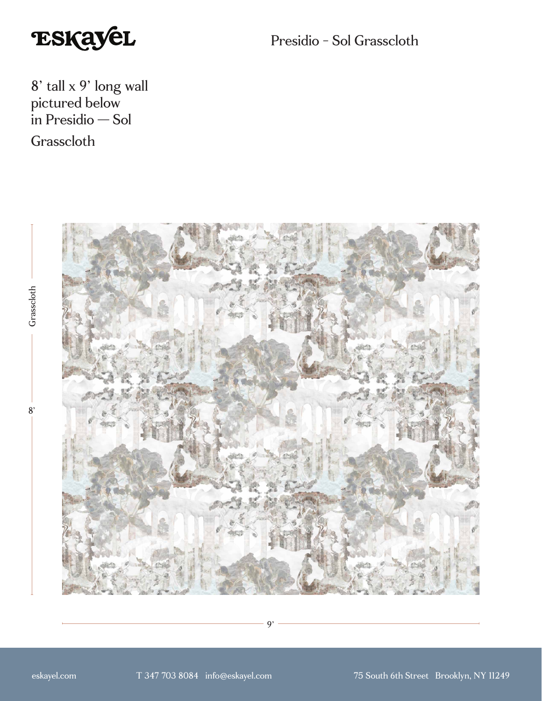

Presidio - Sol Grasscloth

8' tall x 9' long wall pictured below in Presidio — Sol **Grasscloth** 



9'

 $8'$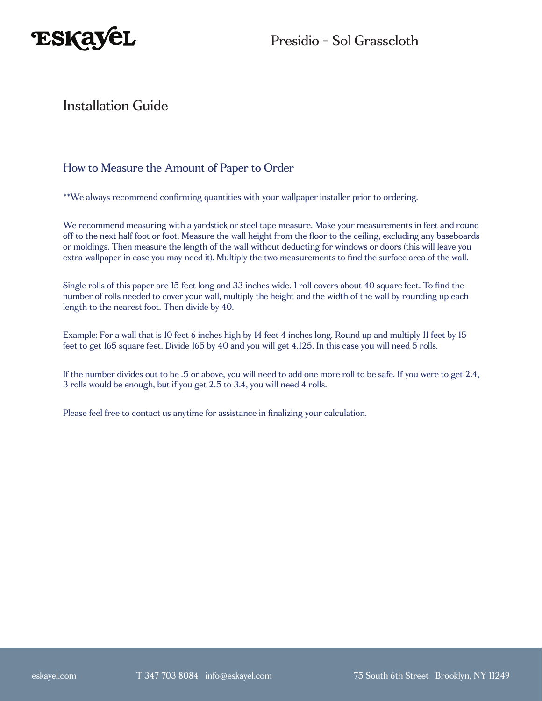

### Installation Guide

### How to Measure the Amount of Paper to Order

\*\*We always recommend confirming quantities with your wallpaper installer prior to ordering.

We recommend measuring with a yardstick or steel tape measure. Make your measurements in feet and round off to the next half foot or foot. Measure the wall height from the floor to the ceiling, excluding any baseboards or moldings. Then measure the length of the wall without deducting for windows or doors (this will leave you extra wallpaper in case you may need it). Multiply the two measurements to find the surface area of the wall.

Single rolls of this paper are 15 feet long and 33 inches wide. 1 roll covers about 40 square feet. To find the number of rolls needed to cover your wall, multiply the height and the width of the wall by rounding up each length to the nearest foot. Then divide by 40.

Example: For a wall that is 10 feet 6 inches high by 14 feet 4 inches long. Round up and multiply 11 feet by 15 feet to get 165 square feet. Divide 165 by 40 and you will get 4.125. In this case you will need 5 rolls.

If the number divides out to be .5 or above, you will need to add one more roll to be safe. If you were to get 2.4, 3 rolls would be enough, but if you get 2.5 to 3.4, you will need 4 rolls.

Please feel free to contact us anytime for assistance in finalizing your calculation.